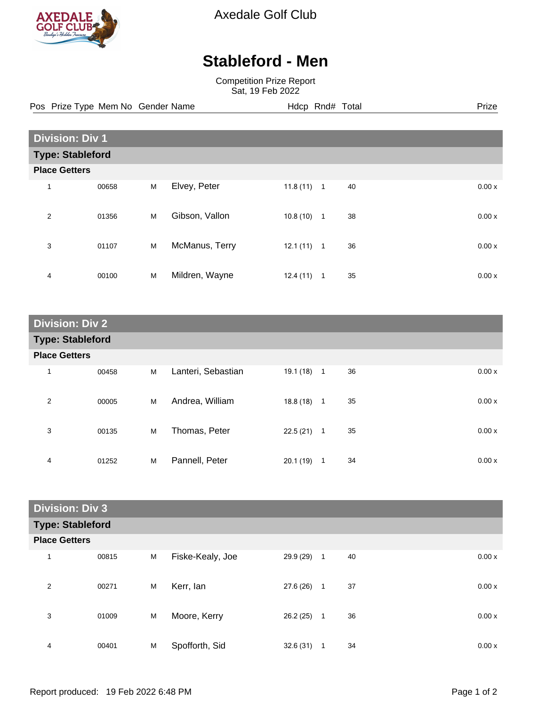

Axedale Golf Club

## **Stableford - Men**

Competition Prize Report Sat, 19 Feb 2022

Pos Prize Type Mem No Gender Name **Hdcp Rnd# Total** Prize Prize

| <b>Division: Div 1</b>  |       |   |                |          |                |    |  |       |
|-------------------------|-------|---|----------------|----------|----------------|----|--|-------|
| <b>Type: Stableford</b> |       |   |                |          |                |    |  |       |
| <b>Place Getters</b>    |       |   |                |          |                |    |  |       |
| $\mathbf{1}$            | 00658 | M | Elvey, Peter   | 11.8(11) | $\overline{1}$ | 40 |  | 0.00x |
| $\overline{2}$          | 01356 | M | Gibson, Vallon | 10.8(10) | 1              | 38 |  | 0.00x |
| 3                       | 01107 | M | McManus, Terry | 12.1(11) | $\overline{1}$ | 36 |  | 0.00x |
| 4                       | 00100 | M | Mildren, Wayne | 12.4(11) | 1              | 35 |  | 0.00x |

| <b>Division: Div 2</b>  |       |   |                    |              |                |    |  |       |
|-------------------------|-------|---|--------------------|--------------|----------------|----|--|-------|
| <b>Type: Stableford</b> |       |   |                    |              |                |    |  |       |
| <b>Place Getters</b>    |       |   |                    |              |                |    |  |       |
| 1                       | 00458 | M | Lanteri, Sebastian | $19.1(18)$ 1 |                | 36 |  | 0.00x |
| 2                       | 00005 | M | Andrea, William    | $18.8(18)$ 1 |                | 35 |  | 0.00x |
| 3                       | 00135 | M | Thomas, Peter      | 22.5(21)     | $\overline{1}$ | 35 |  | 0.00x |
| 4                       | 01252 | M | Pannell, Peter     | 20.1(19)     | 1              | 34 |  | 0.00x |

| <b>Division: Div 3</b> |                         |   |                  |           |              |    |  |       |
|------------------------|-------------------------|---|------------------|-----------|--------------|----|--|-------|
|                        | <b>Type: Stableford</b> |   |                  |           |              |    |  |       |
| <b>Place Getters</b>   |                         |   |                  |           |              |    |  |       |
| $\mathbf 1$            | 00815                   | M | Fiske-Kealy, Joe | 29.9 (29) | $\mathbf{1}$ | 40 |  | 0.00x |
| $\overline{2}$         | 00271                   | M | Kerr, lan        | 27.6 (26) | 1            | 37 |  | 0.00x |
| 3                      | 01009                   | M | Moore, Kerry     | 26.2(25)  | $\mathbf{1}$ | 36 |  | 0.00x |
| 4                      | 00401                   | M | Spofforth, Sid   | 32.6(31)  | 1            | 34 |  | 0.00x |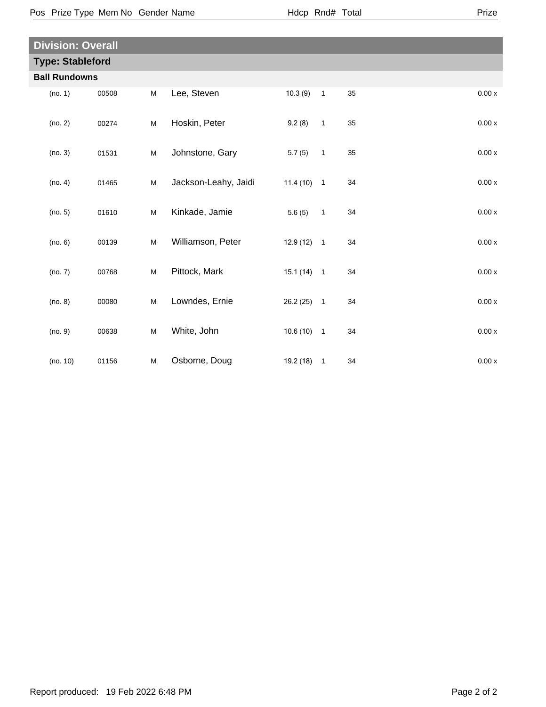| <b>Division: Overall</b> |       |                                                                                       |                      |              |                            |    |                    |  |
|--------------------------|-------|---------------------------------------------------------------------------------------|----------------------|--------------|----------------------------|----|--------------------|--|
| <b>Type: Stableford</b>  |       |                                                                                       |                      |              |                            |    |                    |  |
| <b>Ball Rundowns</b>     |       |                                                                                       |                      |              |                            |    |                    |  |
| (no. 1)                  | 00508 | M                                                                                     | Lee, Steven          | 10.3(9)      | $\mathbf{1}$               | 35 | 0.00x              |  |
| (no. 2)                  | 00274 | ${\sf M}$                                                                             | Hoskin, Peter        | 9.2(8)       | $\mathbf{1}$               | 35 | 0.00x              |  |
| (no. 3)                  | 01531 | M                                                                                     | Johnstone, Gary      | 5.7(5)       | $\mathbf{1}$               | 35 | 0.00x              |  |
| (no. 4)                  | 01465 | ${\sf M}$                                                                             | Jackson-Leahy, Jaidi | $11.4(10)$ 1 |                            | 34 | 0.00x              |  |
| (no. 5)                  | 01610 | ${\sf M}$                                                                             | Kinkade, Jamie       | 5.6(5)       | $\mathbf{1}$               | 34 | $0.00\,\mathrm{x}$ |  |
| (no. 6)                  | 00139 | M                                                                                     | Williamson, Peter    | $12.9(12)$ 1 |                            | 34 | $0.00\,\mathrm{x}$ |  |
| (no. 7)                  | 00768 | ${\sf M}$                                                                             | Pittock, Mark        | $15.1(14)$ 1 |                            | 34 | $0.00\,\mathrm{x}$ |  |
| (no. 8)                  | 00080 | ${\sf M}$                                                                             | Lowndes, Ernie       | 26.2(25)     | $\overline{1}$             | 34 | 0.00x              |  |
| (no. 9)                  | 00638 | $\mathsf{M}% _{T}=\mathsf{M}_{T}\!\left( a,b\right) ,\ \mathsf{M}_{T}=\mathsf{M}_{T}$ | White, John          | $10.6(10)$ 1 |                            | 34 | $0.00\,\mathrm{x}$ |  |
| (no. 10)                 | 01156 | M                                                                                     | Osborne, Doug        | 19.2 (18)    | $\overline{\phantom{0}}$ 1 | 34 | 0.00x              |  |